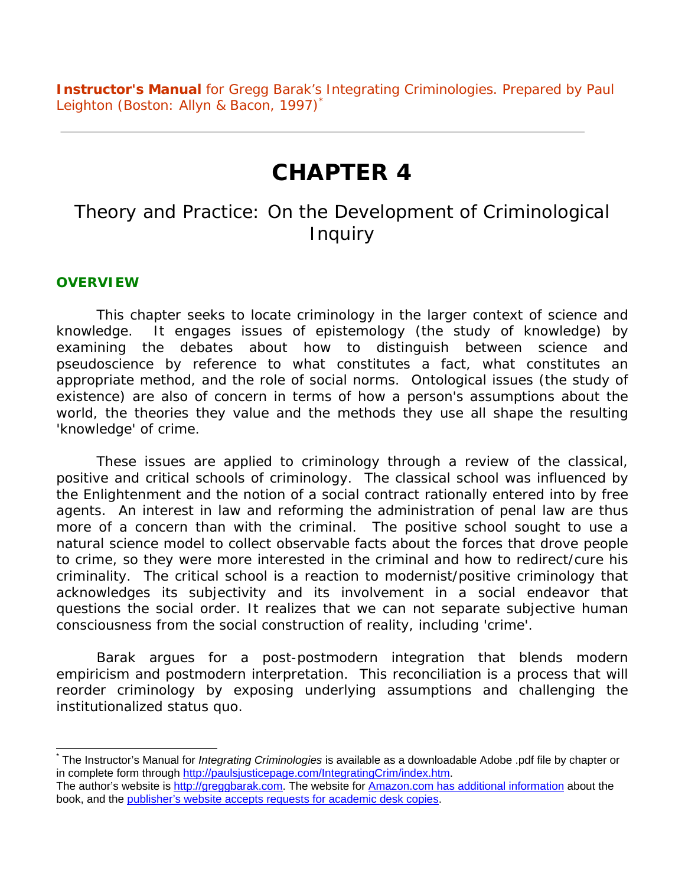**Instructor's Manual** for Gregg Barak's *Integrating Criminologies*. Prepared by Paul Leighton (Boston: Allyn & Bacon, 1997) [\\*](#page-0-0)

# **CHAPTER 4**

## *Theory and Practice: On the Development of Criminological Inquiry*

#### **OVERVIEW**

This chapter seeks to locate criminology in the larger context of science and knowledge. It engages issues of epistemology (the study of knowledge) by examining the debates about how to distinguish between science and pseudoscience by reference to what constitutes a fact, what constitutes an appropriate method, and the role of social norms. Ontological issues (the study of existence) are also of concern in terms of how a person's assumptions about the world, the theories they value and the methods they use all shape the resulting 'knowledge' of crime.

These issues are applied to criminology through a review of the classical, positive and critical schools of criminology. The classical school was influenced by the Enlightenment and the notion of a social contract rationally entered into by free agents. An interest in law and reforming the administration of penal law are thus more of a concern than with the criminal. The positive school sought to use a natural science model to collect observable facts about the forces that drove people to crime, so they were more interested in the criminal and how to redirect/cure his criminality. The critical school is a reaction to modernist/positive criminology that acknowledges its subjectivity and its involvement in a social endeavor that questions the social order. It realizes that we can not separate subjective human consciousness from the social construction of reality, including 'crime'.

Barak argues for a post-postmodern integration that blends modern empiricism and postmodern interpretation. This reconciliation is a process that will reorder criminology by exposing underlying assumptions and challenging the institutionalized status quo.

<span id="page-0-0"></span> <sup>\*</sup> The Instructor's Manual for *Integrating Criminologies* is available as a downloadable Adobe .pdf file by chapter or in complete form through <http://paulsjusticepage.com/IntegratingCrim/index.htm>.

The author's website is [http://greggbarak.com.](http://greggbarak.com/) The website for [Amazon.com has additional information](http://www.amazon.com/exec/obidos/ASIN/0205165575/stopviolence) about the book, and the [publisher's website accepts requests for academic desk copies](http://www.ablongman.com/catalog/academic/product/1,4096,0205165575,00.html).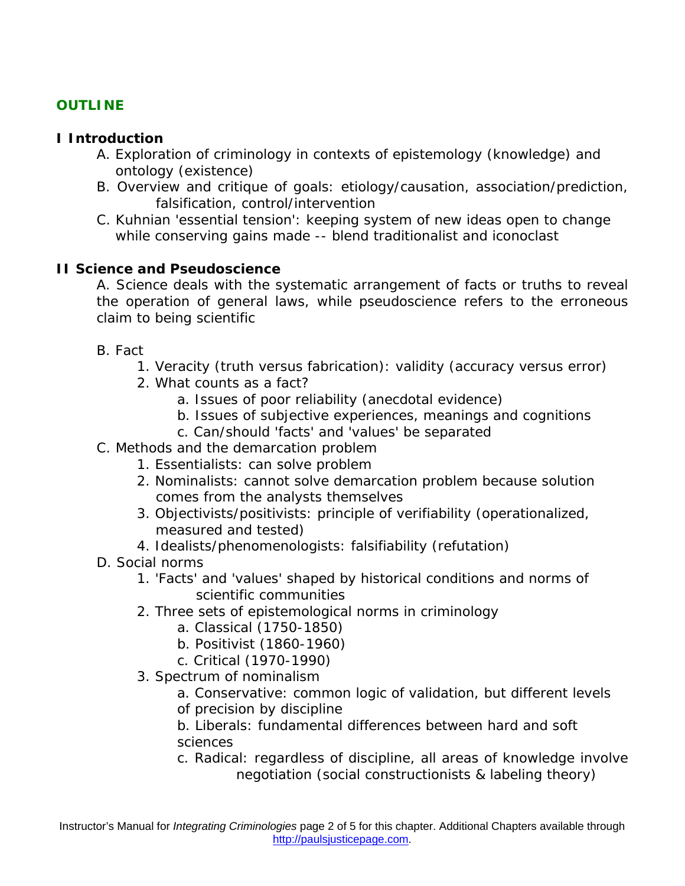## **OUTLINE**

#### **I Introduction**

- A. Exploration of criminology in contexts of epistemology (knowledge) and ontology (existence)
- B. Overview and critique of goals: etiology/causation, association/prediction, falsification, control/intervention
- C. Kuhnian 'essential tension': keeping system of new ideas open to change while conserving gains made -- blend traditionalist and iconoclast

#### **II Science and Pseudoscience**

A. Science deals with the systematic arrangement of facts or truths to reveal the operation of general laws, while pseudoscience refers to the erroneous claim to being scientific

- B. Fact
	- 1. Veracity (truth versus fabrication): validity (accuracy versus error)
	- 2. What counts as a fact?
		- a. Issues of poor reliability (anecdotal evidence)
		- b. Issues of subjective experiences, meanings and cognitions
		- c. Can/should 'facts' and 'values' be separated
- C. Methods and the demarcation problem
	- 1. Essentialists: can solve problem
	- 2. Nominalists: cannot solve demarcation problem because solution comes from the analysts themselves
	- 3. Objectivists/positivists: principle of verifiability (operationalized, measured and tested)
	- 4. Idealists/phenomenologists: falsifiability (refutation)
- D. Social norms
	- 1. 'Facts' and 'values' shaped by historical conditions and norms of scientific communities
	- 2. Three sets of epistemological norms in criminology
		- a. Classical (1750-1850)
		- b. Positivist (1860-1960)
		- c. Critical (1970-1990)
	- 3. Spectrum of nominalism
		- a. Conservative: common logic of validation, but different levels of precision by discipline
		- b. Liberals: fundamental differences between hard and soft sciences
		- c. Radical: regardless of discipline, all areas of knowledge involve negotiation (social constructionists & labeling theory)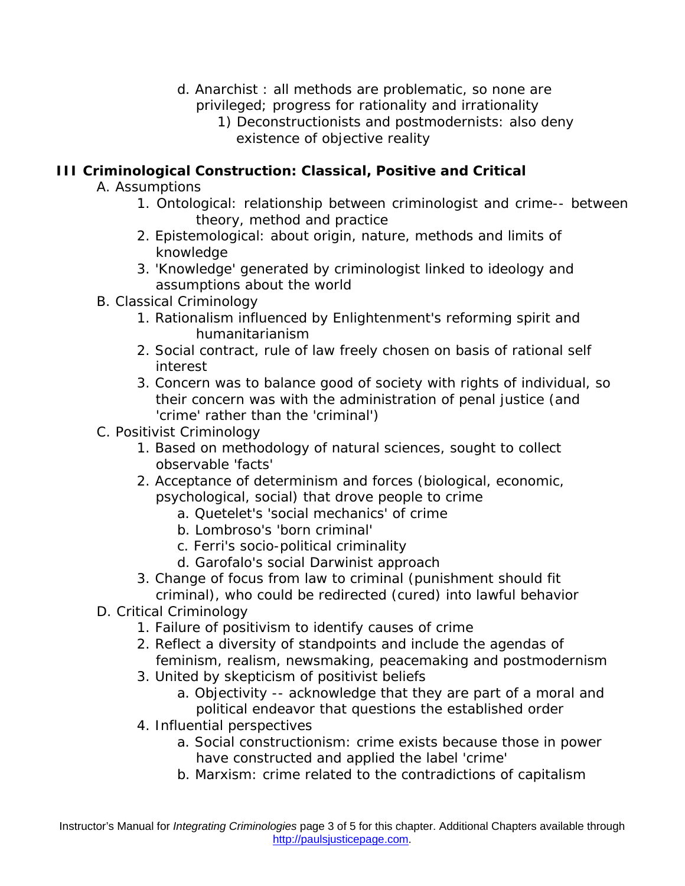- d. Anarchist : all methods are problematic, so none are privileged; progress for rationality and irrationality
	- 1) Deconstructionists and postmodernists: also deny existence of objective reality

## **III Criminological Construction: Classical, Positive and Critical**

- A. Assumptions
	- 1. Ontological: relationship between criminologist and crime-- between theory, method and practice
	- 2. Epistemological: about origin, nature, methods and limits of knowledge
	- 3. 'Knowledge' generated by criminologist linked to ideology and assumptions about the world
- B. Classical Criminology
	- 1. Rationalism influenced by Enlightenment's reforming spirit and humanitarianism
	- 2. Social contract, rule of law freely chosen on basis of rational self interest
	- 3. Concern was to balance good of society with rights of individual, so their concern was with the administration of penal justice (and 'crime' rather than the 'criminal')
- C. Positivist Criminology
	- 1. Based on methodology of natural sciences, sought to collect observable 'facts'
	- 2. Acceptance of determinism and forces (biological, economic, psychological, social) that drove people to crime
		- a. Quetelet's 'social mechanics' of crime
		- b. Lombroso's 'born criminal'
		- c. Ferri's socio-political criminality
		- d. Garofalo's social Darwinist approach
	- 3. Change of focus from law to criminal (punishment should fit criminal), who could be redirected (cured) into lawful behavior
- D. Critical Criminology
	- 1. Failure of positivism to identify causes of crime
	- 2. Reflect a diversity of standpoints and include the agendas of feminism, realism, newsmaking, peacemaking and postmodernism
	- 3. United by skepticism of positivist beliefs
		- a. Objectivity -- acknowledge that they are part of a moral and political endeavor that questions the established order
	- 4. Influential perspectives
		- a. Social constructionism: crime exists because those in power have constructed and applied the label 'crime'
		- b. Marxism: crime related to the contradictions of capitalism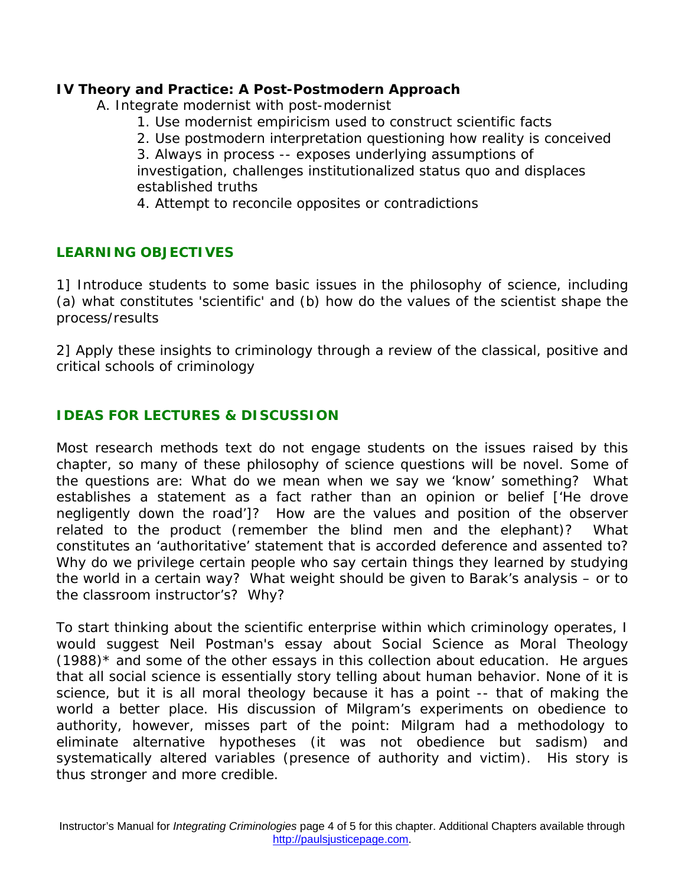#### **IV Theory and Practice: A Post-Postmodern Approach**

A. Integrate modernist with post-modernist

- 1. Use modernist empiricism used to construct scientific facts
- 2. Use postmodern interpretation questioning how reality is conceived

3. Always in process -- exposes underlying assumptions of investigation, challenges institutionalized status quo and displaces established truths

4. Attempt to reconcile opposites or contradictions

#### **LEARNING OBJECTIVES**

1] Introduce students to some basic issues in the philosophy of science, including (a) what constitutes 'scientific' and (b) how do the values of the scientist shape the process/results

2] Apply these insights to criminology through a review of the classical, positive and critical schools of criminology

#### **IDEAS FOR LECTURES & DISCUSSION**

Most research methods text do not engage students on the issues raised by this chapter, so many of these philosophy of science questions will be novel. Some of the questions are: What do we mean when we say we 'know' something? What establishes a statement as a fact rather than an opinion or belief ['He drove negligently down the road']? How are the values and position of the observer related to the product (remember the blind men and the elephant)? What constitutes an 'authoritative' statement that is accorded deference and assented to? Why do we privilege certain people who say certain things they learned by studying the world in a certain way? What weight should be given to Barak's analysis – or to the classroom instructor's? Why?

To start thinking about the scientific enterprise within which criminology operates, I would suggest Neil Postman's essay about Social Science as Moral Theology  $(1988)^*$  and some of the other essays in this collection about education. He argues that all social science is essentially story telling about human behavior. None of it is science, but it is all moral theology because it has a point -- that of making the world a better place. His discussion of Milgram's experiments on obedience to authority, however, misses part of the point: Milgram had a methodology to eliminate alternative hypotheses (it was not obedience but sadism) and systematically altered variables (presence of authority and victim). His story is thus stronger and more credible.